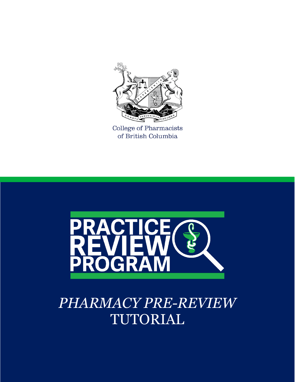

College of Pharmacists of British Columbia



# *PHARMACY PRE-REVIEW*  TUTORIAL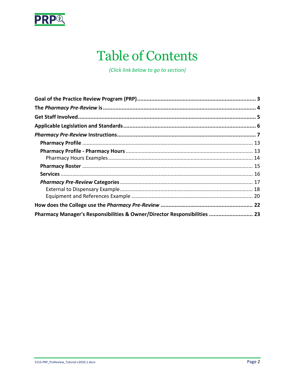

## **Table of Contents**

(Click link below to go to section)

| Pharmacy Manager's Responsibilities & Owner/Director Responsibilities  23 |  |
|---------------------------------------------------------------------------|--|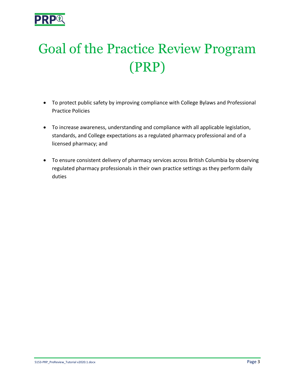

# <span id="page-2-0"></span>Goal of the Practice Review Program (PRP)

- To protect public safety by improving compliance with College Bylaws and Professional Practice Policies
- To increase awareness, understanding and compliance with all applicable legislation, standards, and College expectations as a regulated pharmacy professional and of a licensed pharmacy; and
- To ensure consistent delivery of pharmacy services across British Columbia by observing regulated pharmacy professionals in their own practice settings as they perform daily duties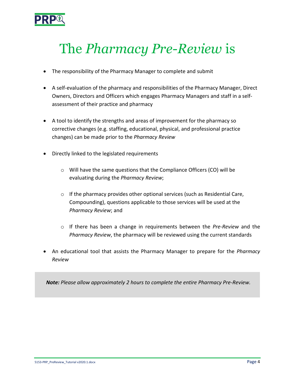

## <span id="page-3-0"></span>The *Pharmacy Pre-Review* is

- The responsibility of the Pharmacy Manager to complete and submit
- A self-evaluation of the pharmacy and responsibilities of the Pharmacy Manager, Direct Owners, Directors and Officers which engages Pharmacy Managers and staff in a selfassessment of their practice and pharmacy
- A tool to identify the strengths and areas of improvement for the pharmacy so corrective changes (e.g. staffing, educational, physical, and professional practice changes) can be made prior to the *Pharmacy Review*
- Directly linked to the legislated requirements
	- o Will have the same questions that the Compliance Officers (CO) will be evaluating during the *Pharmacy Review*;
	- $\circ$  If the pharmacy provides other optional services (such as Residential Care, Compounding), questions applicable to those services will be used at the *Pharmacy Review*; and
	- o If there has been a change in requirements between the *Pre-Review* and the *Pharmacy Review*, the pharmacy will be reviewed using the current standards
- An educational tool that assists the Pharmacy Manager to prepare for the *Pharmacy Review*

*Note: Please allow approximately 2 hours to complete the entire Pharmacy Pre-Review.*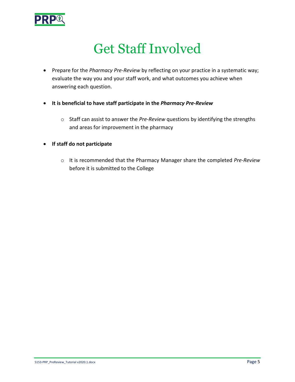

## Get Staff Involved

- <span id="page-4-0"></span>• Prepare for the *Pharmacy Pre-Review* by reflecting on your practice in a systematic way; evaluate the way you and your staff work, and what outcomes you achieve when answering each question.
- **It is beneficial to have staff participate in the** *Pharmacy Pre-Review*
	- o Staff can assist to answer the *Pre-Review* questions by identifying the strengths and areas for improvement in the pharmacy
- **If staff do not participate**
	- o It is recommended that the Pharmacy Manager share the completed *Pre-Review* before it is submitted to the College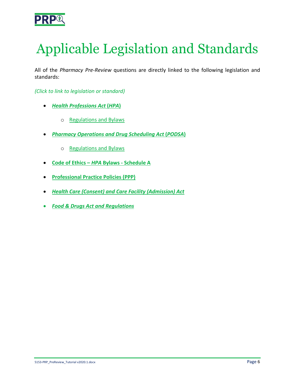

# <span id="page-5-0"></span>Applicable Legislation and Standards

All of the *Pharmacy Pre-Review* questions are directly linked to the following legislation and standards:

*(Click to link to legislation or standard)*

- *[Health Professions Act](http://www.bclaws.ca/EPLibraries/bclaws_new/document/ID/freeside/00_96183_01)* **(***HPA***)**
	- o [Regulations and Bylaws](https://www.bcpharmacists.org/acts-and-bylaws)
- *[Pharmacy Operations and Drug Scheduling Act](http://www.bclaws.ca/civix/document/id/complete/statreg/03077_01)* **(***PODSA***)**
	- o [Regulations and Bylaws](https://www.bcpharmacists.org/acts-and-bylaws)
- **[Code of Ethics –](https://www.bcpharmacists.org/acts-and-bylaws#accpanel-2)** *HPA* **Bylaws - Schedule A**
- **[Professional Practice Policies \(PPP\)](http://www.bcpharmacists.org/professional-practice-policies-and-guides)**
- *[Health Care \(Consent\) and Care Facility \(Admission\) Act](http://www.bclaws.ca/civix/document/id/complete/statreg/96181_01)*
- *[Food & Drugs Act and Regulations](http://laws-lois.justice.gc.ca/eng/acts/F-27/index.html)*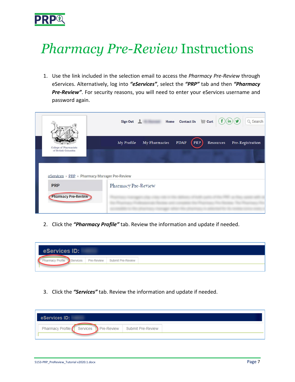

# <span id="page-6-0"></span>*Pharmacy Pre-Review* Instructions

1. Use the link included in the selection email to access the *Pharmacy Pre-Review* through eServices. Alternatively, log into *"eServices"*, select the *"PRP"* tab and then *"Pharmacy*  Pre-Review". For security reasons, you will need to enter your eServices username and password again.

|                                               | $(f)(\mathsf{in})(\mathsf{y})$<br>Home Contact Us $\overline{\mathbb{H}}$ Cart<br>Q Search<br>Sign Out L |
|-----------------------------------------------|----------------------------------------------------------------------------------------------------------|
| College of Pharmacists                        | <b>PDAP</b><br>PRP<br>My Profile<br>My Pharmacies<br>Resources<br>Pre-Registration                       |
| of British Columbia                           |                                                                                                          |
| eServices » PRP » Pharmacy Manager Pre-Review |                                                                                                          |
| <b>PRP</b><br><b>Pharmacy Pre-Review</b>      | Pharmacy Pre-Review                                                                                      |
|                                               |                                                                                                          |

2. Click the *"Pharmacy Profile"* tab. Review the information and update if needed.

3. Click the *"Services"* tab. Review the information and update if needed.

| eServices ID: |                                                        |  |
|---------------|--------------------------------------------------------|--|
|               | Pharmacy Profile Services Pre-Review Submit Pre-Review |  |
|               |                                                        |  |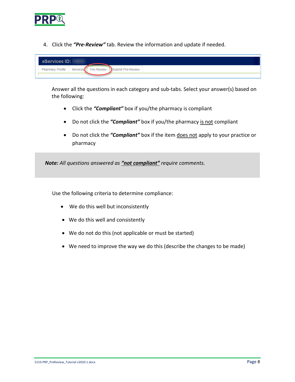

4. Click the *"Pre-Review"* tab. Review the information and update if needed.

| eServices ID: |  |                                                              |
|---------------|--|--------------------------------------------------------------|
|               |  | Pharmacy Profile   Services   Pre-Review   Submit Pre-Review |
|               |  |                                                              |

Answer all the questions in each category and sub-tabs. Select your answer(s) based on the following:

- Click the *"Compliant"* box if you/the pharmacy is compliant
- Do not click the "**Compliant**" box if you/the pharmacy is not compliant
- Do not click the "**Compliant**" box if the item does not apply to your practice or pharmacy

*Note: All questions answered as "not compliant" require comments.*

Use the following criteria to determine compliance:

- We do this well but inconsistently
- We do this well and consistently
- We do not do this (not applicable or must be started)
- We need to improve the way we do this (describe the changes to be made)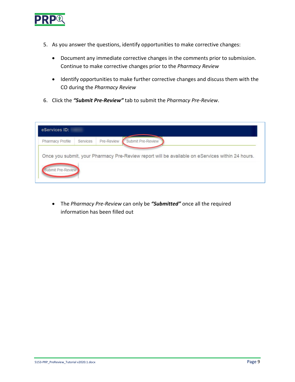

- 5. As you answer the questions, identify opportunities to make corrective changes:
	- Document any immediate corrective changes in the comments prior to submission. Continue to make corrective changes prior to the *Pharmacy Review*
	- Identify opportunities to make further corrective changes and discuss them with the CO during the *Pharmacy Review*
- 6. Click the *"Submit Pre-Review"* tab to submit the *Pharmacy Pre-Review*.

| eServices ID:           |                        |                                                                                                  |
|-------------------------|------------------------|--------------------------------------------------------------------------------------------------|
| <b>Pharmacy Profile</b> | Pre-Review<br>Services | Submit Pre-Review                                                                                |
|                         |                        |                                                                                                  |
|                         |                        | Once you submit, your Pharmacy Pre-Review report will be available on eServices within 24 hours. |
| Submit Pre-Review       |                        |                                                                                                  |

• The *Pharmacy Pre-Review* can only be *"Submitted"* once all the required information has been filled out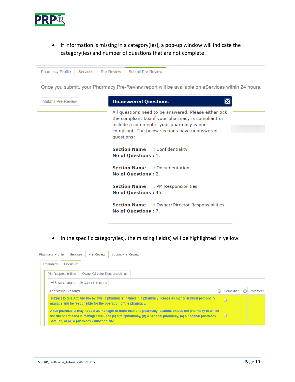

• If information is missing in a category(ies), a pop-up window will indicate the category(ies) and number of questions that are not complete

| <b>Pharmacy Profile</b><br><b>Services</b> | Submit Pre-Review<br>Pre-Review                                                                                                                                                                                                                                                                                                                                                                                                                                                                                |
|--------------------------------------------|----------------------------------------------------------------------------------------------------------------------------------------------------------------------------------------------------------------------------------------------------------------------------------------------------------------------------------------------------------------------------------------------------------------------------------------------------------------------------------------------------------------|
|                                            | Once you submit, your Pharmacy Pre-Review report will be available on eServices within 24 hours.                                                                                                                                                                                                                                                                                                                                                                                                               |
| <b>Submit Pre-Review</b>                   | <b>Unanswered Questions</b>                                                                                                                                                                                                                                                                                                                                                                                                                                                                                    |
|                                            | All questions need to be answered. Please either tick<br>the compliant box if your pharmacy is compliant or<br>include a comment if your pharmacy is non-<br>compliant. The below sections have unanswered<br>questions:<br><b>Section Name : Confidentiality</b><br>No of Questions : 1.<br><b>Section Name : Documentation</b><br>No of Questions : 2.<br><b>Section Name : PM Responsibilities</b><br>No of Questions: 45.<br><b>Section Name :</b> Owner/Director Responsibilities<br>No of Questions : 7. |

• In the specific category(ies), the missing field(s) will be highlighted in yellow

| <b>Pharmacy Profile</b><br><b>Submit Pre-Review</b><br>Pre-Review<br>Services                                                                                                                                                                                             |           |                                          |         |  |  |
|---------------------------------------------------------------------------------------------------------------------------------------------------------------------------------------------------------------------------------------------------------------------------|-----------|------------------------------------------|---------|--|--|
| Licensure<br>Pharmacy                                                                                                                                                                                                                                                     |           |                                          |         |  |  |
| <b>PM Responsibilities</b><br><b>Owner/Director Responsibilities</b>                                                                                                                                                                                                      |           |                                          |         |  |  |
| $\odot$ Save changes<br>$\circ$ Cancel changes                                                                                                                                                                                                                            |           |                                          |         |  |  |
| Legislation/Standard<br>$\left( \nabla \right)$                                                                                                                                                                                                                           | Compliant | $\left( \mathbf{\overline{\tau}}\right)$ | Comment |  |  |
| Subject to this Act and the bylaws, a pharmacist named in a pharmacy license as manager must personally<br>$\Box$<br>manage and be responsible for the operation of the pharmacy.                                                                                         |           |                                          |         |  |  |
| A full pharmacist may not act as manager of more than one pharmacy location, unless the pharmacy of which<br>the full pharmacist is manager includes (a) a telepharmacy, (b) a hospital pharmacy, (c) a hospital pharmacy<br>satellite, or (d) a pharmacy education site. | $\Box$    |                                          |         |  |  |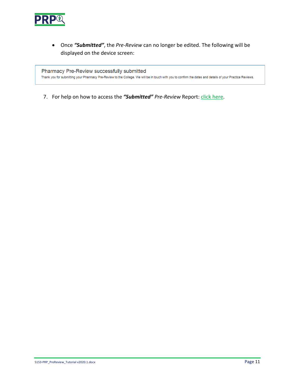

• Once *"Submitted"*, the *Pre-Review* can no longer be edited. The following will be displayed on the device screen:

Pharmacy Pre-Review successfully submitted

Thank you for submitting your Pharmacy Pre-Review to the College. We will be in touch with you to confirm the dates and details of your Practice Reviews.

7. For help on how to access the "Submitted" Pre-Review Report: [click here.](http://library.bcpharmacists.org/5_Programs/5-2_PRP/5198-PRP_Accessing_Reports.pdf)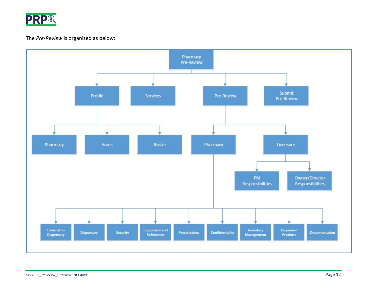

#### The *Pre-Review* is organized as below:

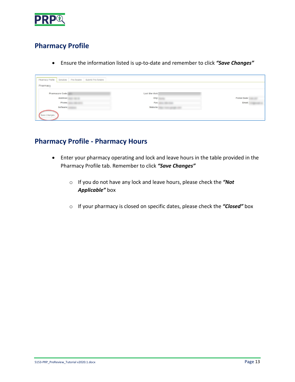

### <span id="page-12-0"></span>**Pharmacy Profile**

• Ensure the information listed is up-to-date and remember to click *"Save Changes"*

| Pharmacy Profile | Pre-Review<br>Services | Submit Pre-Review |                  |              |
|------------------|------------------------|-------------------|------------------|--------------|
| Pharmacy         |                        |                   |                  |              |
| Pharmacare Code: |                        |                   | Last Site Visit: |              |
|                  | Address:               |                   | City:            | Postal Code: |
|                  | Phone:                 |                   | Fax:             | Email:       |
|                  | Software:              |                   | Website:         |              |
| Save Changes     |                        |                   |                  |              |

### <span id="page-12-1"></span>**Pharmacy Profile - Pharmacy Hours**

- Enter your pharmacy operating and lock and leave hours in the table provided in the Pharmacy Profile tab. Remember to click *"Save Changes"*
	- o If you do not have any lock and leave hours, please check the *"Not Applicable"* box
	- o If your pharmacy is closed on specific dates, please check the *"Closed"* box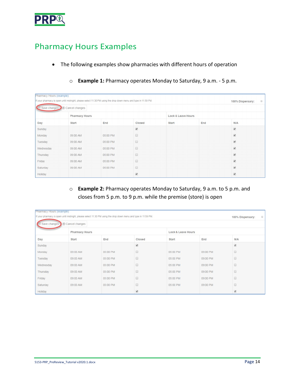

### <span id="page-13-0"></span>Pharmacy Hours Examples

- The following examples show pharmacies with different hours of operation
	- o **Example 1:** Pharmacy operates Monday to Saturday, 9 a.m. 5 p.m.

| Pharmacy Hours (example) |                               |                                                                                                                |                          |                    |     |                                          |
|--------------------------|-------------------------------|----------------------------------------------------------------------------------------------------------------|--------------------------|--------------------|-----|------------------------------------------|
|                          |                               | If your pharmacy is open until midnight, please select 11:30 PM using the drop down menu and type in 11:59 PM. |                          |                    |     | 100% Dispensary:<br>$\qquad \qquad \Box$ |
|                          | Save changes 8 Cancel changes |                                                                                                                |                          |                    |     |                                          |
|                          | <b>Pharmacy Hours</b>         |                                                                                                                |                          | Lock & Leave Hours |     |                                          |
| Day                      | Start                         | End                                                                                                            | Closed                   | Start              | End | N/A                                      |
| Sunday                   |                               |                                                                                                                | $\blacktriangleright$    |                    |     | $\overline{\mathcal{L}}$                 |
| Monday                   | 09:00 AM                      | 05:00 PM                                                                                                       |                          |                    |     | $\overline{\mathbf{v}}$                  |
| Tuesday                  | 09:00 AM                      | 05:00 PM                                                                                                       |                          |                    |     | $\overline{\mathbf{v}}$                  |
| Wednesday                | 09:00 AM                      | 05:00 PM                                                                                                       |                          |                    |     | $\overline{\mathbf{v}}$                  |
| Thursday                 | 09:00 AM                      | 05:00 PM                                                                                                       |                          |                    |     | $\overline{\mathbf{r}}$                  |
| Friday                   | 09:00 AM                      | 05:00 PM                                                                                                       | ▣                        |                    |     | $\overline{\mathcal{L}}$                 |
| Saturday                 | 09:00 AM                      | 05:00 PM                                                                                                       |                          |                    |     | $\overline{\mathbf{v}}$                  |
| Holiday                  |                               |                                                                                                                | $\overline{\mathcal{L}}$ |                    |     | $\overline{\mathbf{v}}$                  |

o **Example 2:** Pharmacy operates Monday to Saturday, 9 a.m. to 5 p.m. and closes from 5 p.m. to 9 p.m. while the premise (store) is open

| Pharmacy Hours (example)                    |                |                                                                                                                |                          |          |          |                          |           |
|---------------------------------------------|----------------|----------------------------------------------------------------------------------------------------------------|--------------------------|----------|----------|--------------------------|-----------|
|                                             |                | If your pharmacy is open until midnight, please select 11:30 PM using the drop down menu and type in 11:59 PM. |                          |          |          | 100% Dispensary:         | $\square$ |
| Save changes                                | Cancel changes |                                                                                                                |                          |          |          |                          |           |
| <b>Pharmacy Hours</b><br>Lock & Leave Hours |                |                                                                                                                |                          |          |          |                          |           |
| Day                                         | Start          | End                                                                                                            | Closed                   | Start    | End      | N/A                      |           |
| Sunday                                      |                |                                                                                                                | $\overline{\mathcal{L}}$ |          |          | $\overline{\mathcal{L}}$ |           |
| Monday                                      | 09:00 AM       | 05:00 PM                                                                                                       | ⊟                        | 05:00 PM | 09:00 PM |                          |           |
| Tuesday                                     | 09:00 AM       | 05:00 PM                                                                                                       | o                        | 05:00 PM | 09:00 PM |                          |           |
| Wednesday                                   | 09:00 AM       | 05:00 PM                                                                                                       | 8                        | 05:00 PM | 09:00 PM | 品                        |           |
| Thursday                                    | 09:00 AM       | 05:00 PM                                                                                                       | ▣                        | 05:00 PM | 09:00 PM | 8                        |           |
| Friday                                      | 09:00 AM       | 05:00 PM                                                                                                       | 0                        | 05:00 PM | 09:00 PM | ▣                        |           |
| Saturday                                    | 09:00 AM       | 05:00 PM                                                                                                       | 8                        | 05:00 PM | 09:00 PM | o                        |           |
| Holiday                                     |                |                                                                                                                | $\checkmark$             |          |          | $\overline{\mathcal{L}}$ |           |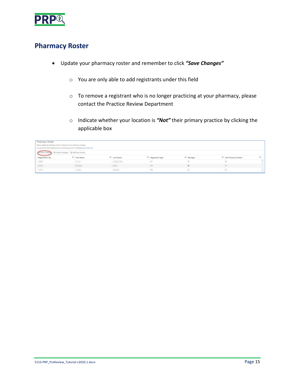

### <span id="page-14-0"></span>**Pharmacy Roster**

- Update your pharmacy roster and remember to click *"Save Changes"* 
	- o You are only able to add registrants under this field
	- o To remove a registrant who is no longer practicing at your pharmacy, please contact the Practice Review Department
	- o Indicate whether your location is *"Not"* their primary practice by clicking the applicable box

| Pharmacy Roster                                |                                                                                |                       |                                |                        |                      |  |  |  |
|------------------------------------------------|--------------------------------------------------------------------------------|-----------------------|--------------------------------|------------------------|----------------------|--|--|--|
|                                                | Please update the pharmacy roster on eServices if you make any changes         |                       |                                |                        |                      |  |  |  |
|                                                | and advise the PRP department for scheduling purposes at PRP@bcpharmacists.org |                       |                                |                        |                      |  |  |  |
| Save changes 8 Cancel changes 4 Add new record |                                                                                |                       |                                |                        |                      |  |  |  |
| Registration No.                               | $\circledcirc$ First Name                                                      | $\circledR$ Last Name | $\circledcirc$ Registrant Type | $\circledcirc$ Manager | Not Primary Practice |  |  |  |
|                                                |                                                                                |                       |                                |                        |                      |  |  |  |
|                                                |                                                                                |                       | <b>PS</b>                      |                        |                      |  |  |  |
|                                                |                                                                                |                       |                                |                        |                      |  |  |  |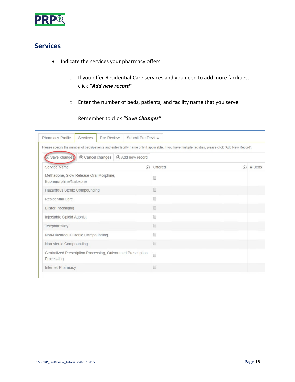

### <span id="page-15-0"></span>**Services**

- Indicate the services your pharmacy offers:
	- o If you offer Residential Care services and you need to add more facilities, click *"Add new record"*
	- o Enter the number of beds, patients, and facility name that you serve
	- o Remember to click *"Save Changes"*

| Please specify the number of beds/patients and enter facility name only if applicable. If you have multiple facilities, please click "Add New Record". |   |                                                                                                                                                                                                                                                                                                                                                     |          |          |
|--------------------------------------------------------------------------------------------------------------------------------------------------------|---|-----------------------------------------------------------------------------------------------------------------------------------------------------------------------------------------------------------------------------------------------------------------------------------------------------------------------------------------------------|----------|----------|
| Save changes<br>⊗ Cancel changes   ⊕ Add new record<br>$(\vee)$                                                                                        |   |                                                                                                                                                                                                                                                                                                                                                     |          |          |
| Service Name                                                                                                                                           | ⊛ | Offered                                                                                                                                                                                                                                                                                                                                             | $\Theta$ | $#$ Beds |
| Methadone, Slow Release Oral Morphine,<br>Buprenorphine/Naloxone                                                                                       |   | $\Box$                                                                                                                                                                                                                                                                                                                                              |          |          |
| Hazardous Sterile Compounding                                                                                                                          |   | $\Box$                                                                                                                                                                                                                                                                                                                                              |          |          |
| <b>Residential Care</b>                                                                                                                                |   | ∩                                                                                                                                                                                                                                                                                                                                                   |          |          |
| <b>Blister Packaging</b>                                                                                                                               |   | $\begin{picture}(20,20) \put(0,0){\line(0,1){10}} \put(15,0){\line(0,1){10}} \put(15,0){\line(0,1){10}} \put(15,0){\line(0,1){10}} \put(15,0){\line(0,1){10}} \put(15,0){\line(0,1){10}} \put(15,0){\line(0,1){10}} \put(15,0){\line(0,1){10}} \put(15,0){\line(0,1){10}} \put(15,0){\line(0,1){10}} \put(15,0){\line(0,1){10}} \put(15,0){\line(0$ |          |          |
| Injectable Opioid Agonist                                                                                                                              |   | œ                                                                                                                                                                                                                                                                                                                                                   |          |          |
| Telepharmacy                                                                                                                                           |   | $\Box$                                                                                                                                                                                                                                                                                                                                              |          |          |
| Non-Hazardous Sterile Compounding                                                                                                                      |   | 画                                                                                                                                                                                                                                                                                                                                                   |          |          |
| Non-sterile Compounding                                                                                                                                |   | $\Box$                                                                                                                                                                                                                                                                                                                                              |          |          |
| Centralized Prescription Processing, Outsourced Prescription<br>Processing                                                                             |   | $\Box$                                                                                                                                                                                                                                                                                                                                              |          |          |
| <b>Internet Pharmacy</b>                                                                                                                               |   | $\Box$                                                                                                                                                                                                                                                                                                                                              |          |          |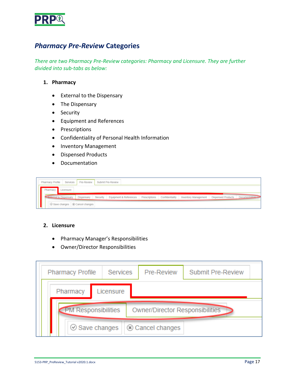

### <span id="page-16-0"></span>*Pharmacy Pre-Review* **Categories**

*There are two Pharmacy Pre-Review categories: Pharmacy and Licensure. They are further divided into sub-tabs as below:*

#### **1. Pharmacy**

- External to the Dispensary
- The Dispensary
- Security
- Equipment and References
- Prescriptions
- Confidentiality of Personal Health Information
- Inventory Management
- Dispensed Products
- Documentation



#### **2. Licensure**

- Pharmacy Manager's Responsibilities
- Owner/Director Responsibilities

| <b>Services</b><br><b>Pharmacy Profile</b>                    |          |                      |  | Pre-Review     | Submit Pre-Review |  |  |
|---------------------------------------------------------------|----------|----------------------|--|----------------|-------------------|--|--|
|                                                               | Pharmacy | Licensure            |  |                |                   |  |  |
| <b>PM Responsibilities</b><br>Owner/Director Responsibilities |          |                      |  |                |                   |  |  |
|                                                               |          | $\odot$ Save changes |  | Cancel changes |                   |  |  |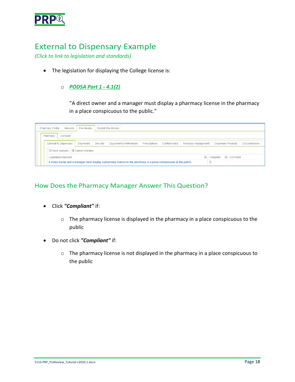

### <span id="page-17-0"></span>External to Dispensary Example

*(Click to link to legislation and standards)*

• The legislation for displaying the College license is:

#### o *[PODSA Part 1 -](http://www.bclaws.ca/civix/document/id/complete/statreg/03077_01#section2) 4.1(2)*

"A direct owner and a manager must display a pharmacy license in the pharmacy in a place conspicuous to the public."

| Pre-Review<br>Submit Pre-Review<br><b>Pharmacy Profile</b><br>Services                                             |                               |            |          |                        |               |                 |                             |                          |  |                           |               |
|--------------------------------------------------------------------------------------------------------------------|-------------------------------|------------|----------|------------------------|---------------|-----------------|-----------------------------|--------------------------|--|---------------------------|---------------|
| Licensure<br>Pharmacy                                                                                              |                               |            |          |                        |               |                 |                             |                          |  |                           |               |
|                                                                                                                    | <b>External to Dispensary</b> | Dispensary | Security | Equipment & References | Prescriptions | Confidentiality | <b>Inventory Management</b> |                          |  | <b>Dispensed Products</b> | Documentation |
| $\odot$ Save changes $\lvert \odot \rvert$ Cancel changes                                                          |                               |            |          |                        |               |                 |                             |                          |  |                           |               |
| Legislation/Standard                                                                                               |                               |            |          |                        |               |                 |                             | $\circledcirc$ Compliant |  | $\odot$ Comment           |               |
| A direct owner and a manager must display a pharmacy licence in the pharmacy in a place conspicuous to the public. |                               |            |          |                        |               |                 |                             |                          |  |                           |               |

#### How Does the Pharmacy Manager Answer This Question?

- Click *"Compliant"* if:
	- o The pharmacy license is displayed in the pharmacy in a place conspicuous to the public
- Do not click *"Compliant"* if:
	- o The pharmacy license is not displayed in the pharmacy in a place conspicuous to the public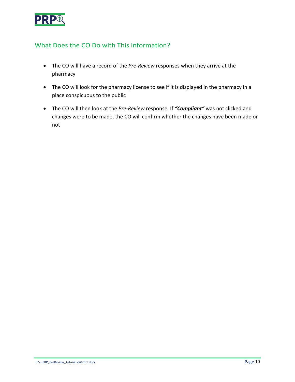

### What Does the CO Do with This Information?

- The CO will have a record of the *Pre-Review* responses when they arrive at the pharmacy
- The CO will look for the pharmacy license to see if it is displayed in the pharmacy in a place conspicuous to the public
- The CO will then look at the *Pre-Review* response. If *"Compliant"* was not clicked and changes were to be made, the CO will confirm whether the changes have been made or not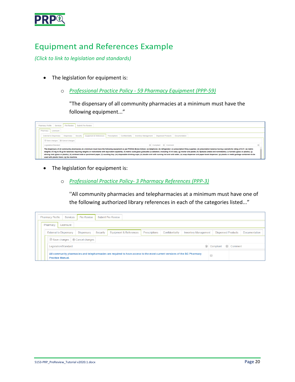

## <span id="page-19-0"></span>Equipment and References Example

*(Click to link to legislation and standards)*

- The legislation for equipment is:
	- o *[Professional Practice Policy 59 Pharmacy Equipment \(PPP-59\)](https://www.bcpharmacists.org/library/6_Resources/6-2_PPP/5003-PGP-PPP59.pdf)*

"The dispensary of all community pharmacies at a minimum must have the following equipment..."



- The legislation for equipment is:
	- o *[Professional Practice Policy- 3 Pharmacy References \(PPP-3\)](https://www.bcpharmacists.org/library/6_Resources/6-2_PPP/5003-PGP-PPP3.pdf)*

''All community pharmacies and telepharmacies at a minimum must have one of the following authorized library references in each of the categories listed..."

|                                                                                                                                                                                                           | <b>Pharmacy Profile</b><br><b>Services</b> | Pre-Review |  | <b>Submit Pre-Review</b> |  |  |  |  |  |  |  |  |
|-----------------------------------------------------------------------------------------------------------------------------------------------------------------------------------------------------------|--------------------------------------------|------------|--|--------------------------|--|--|--|--|--|--|--|--|
|                                                                                                                                                                                                           | Licensure<br>Pharmacy                      |            |  |                          |  |  |  |  |  |  |  |  |
| <b>External to Dispensary</b><br>Equipment & References<br><b>Dispensed Products</b><br>Dispensary<br>Security<br><b>Inventory Management</b><br><b>Documentation</b><br>Prescriptions<br>Confidentiality |                                            |            |  |                          |  |  |  |  |  |  |  |  |
| $\odot$ Save changes $\lvert \odot \rvert$ Cancel changes                                                                                                                                                 |                                            |            |  |                          |  |  |  |  |  |  |  |  |
| $\odot$ Comment<br>$\Theta$<br>Compliant<br>Legislation/Standard                                                                                                                                          |                                            |            |  |                          |  |  |  |  |  |  |  |  |
| All community pharmacies and telepharmacies are required to have access to the most current versions of the BC Pharmacy<br><b>Practice Manual.</b>                                                        |                                            |            |  |                          |  |  |  |  |  |  |  |  |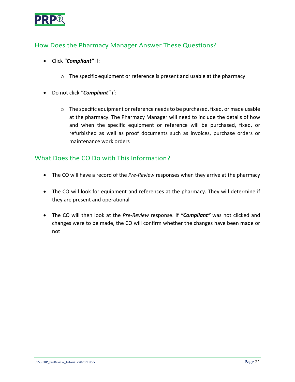

### How Does the Pharmacy Manager Answer These Questions?

- Click *"Compliant"* if:
	- $\circ$  The specific equipment or reference is present and usable at the pharmacy
- Do not click *"Compliant"* if:
	- o The specific equipment or reference needs to be purchased, fixed, or made usable at the pharmacy. The Pharmacy Manager will need to include the details of how and when the specific equipment or reference will be purchased, fixed, or refurbished as well as proof documents such as invoices, purchase orders or maintenance work orders

#### What Does the CO Do with This Information?

- The CO will have a record of the *Pre-Review* responses when they arrive at the pharmacy
- The CO will look for equipment and references at the pharmacy. They will determine if they are present and operational
- The CO will then look at the *Pre-Review* response. If *"Compliant"* was not clicked and changes were to be made, the CO will confirm whether the changes have been made or not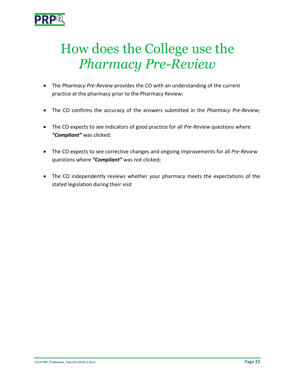

# <span id="page-21-0"></span>How does the College use the *Pharmacy Pre-Review*

- The *Pharmacy Pre-Review* provides the CO with an understanding of the current practice at the pharmacy prior to the Pharmacy Review;
- The CO confirms the accuracy of the answers submitted in the *Pharmacy Pre-Review*;
- The CO expects to see indicators of good practice for all *Pre-Review* questions where *"Compliant"* was clicked;
- The CO expects to see corrective changes and ongoing improvements for all *Pre-Review* questions where *"Compliant"* was not clicked;
- The CO independently reviews whether your pharmacy meets the expectations of the stated legislation during their visit